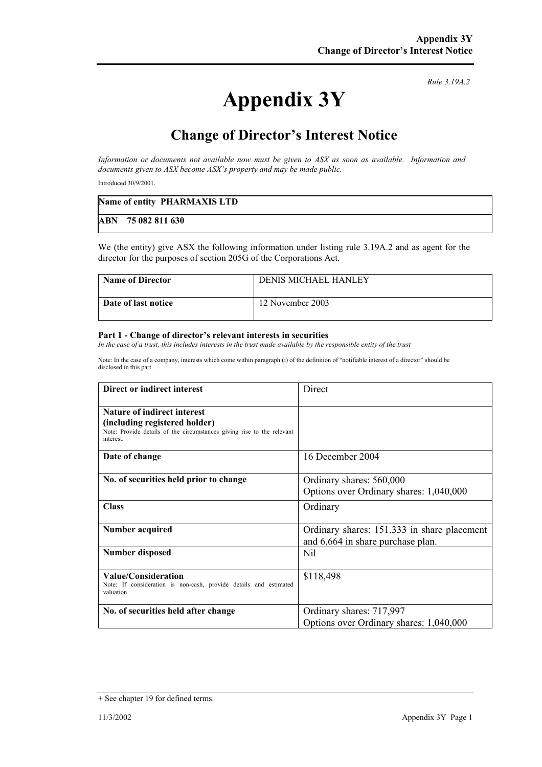# **Appendix 3Y**

*Rule 3.19A.2*

## **Change of Director's Interest Notice**

*Information or documents not available now must be given to ASX as soon as available. Information and documents given to ASX become ASX's property and may be made public.* 

Introduced 30/9/2001.

| Name of entity PHARMAXIS LTD |
|------------------------------|
| ABN 75 082 811 630           |

We (the entity) give ASX the following information under listing rule 3.19A.2 and as agent for the director for the purposes of section 205G of the Corporations Act.

| <b>Name of Director</b> | <b>DENIS MICHAEL HANLEY</b> |
|-------------------------|-----------------------------|
| Date of last notice     | 12 November 2003            |

#### **Part 1 - Change of director's relevant interests in securities**

In the case of a trust, this includes interests in the trust made available by the responsible entity of the trust

Note: In the case of a company, interests which come within paragraph (i) of the definition of "notifiable interest of a director" should be disclosed in this part.

| Direct or indirect interest                                                                                                                                | Direct                                                                           |
|------------------------------------------------------------------------------------------------------------------------------------------------------------|----------------------------------------------------------------------------------|
| <b>Nature of indirect interest</b><br>(including registered holder)<br>Note: Provide details of the circumstances giving rise to the relevant<br>interest. |                                                                                  |
| Date of change                                                                                                                                             | 16 December 2004                                                                 |
| No. of securities held prior to change                                                                                                                     | Ordinary shares: 560,000<br>Options over Ordinary shares: 1,040,000              |
| <b>Class</b>                                                                                                                                               | Ordinary                                                                         |
| Number acquired                                                                                                                                            | Ordinary shares: 151,333 in share placement<br>and 6,664 in share purchase plan. |
| <b>Number disposed</b>                                                                                                                                     | Nil                                                                              |
| Value/Consideration<br>Note: If consideration is non-cash, provide details and estimated<br>valuation                                                      | \$118,498                                                                        |
| No. of securities held after change                                                                                                                        | Ordinary shares: 717,997<br>Options over Ordinary shares: 1,040,000              |

<sup>+</sup> See chapter 19 for defined terms.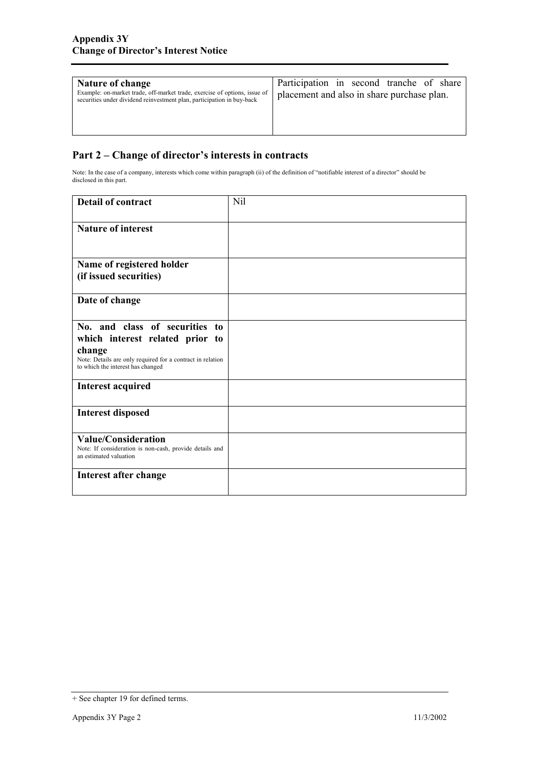| <b>Nature of change</b><br>Example: on-market trade, off-market trade, exercise of options, issue of<br>securities under dividend reinvestment plan, participation in buy-back | Participation in second tranche of share<br>placement and also in share purchase plan. |
|--------------------------------------------------------------------------------------------------------------------------------------------------------------------------------|----------------------------------------------------------------------------------------|
|--------------------------------------------------------------------------------------------------------------------------------------------------------------------------------|----------------------------------------------------------------------------------------|

### **Part 2 – Change of director's interests in contracts**

Note: In the case of a company, interests which come within paragraph (ii) of the definition of "notifiable interest of a director" should be disclosed in this part.

| <b>Detail of contract</b>                                                                                                                                                      | Nil |
|--------------------------------------------------------------------------------------------------------------------------------------------------------------------------------|-----|
| <b>Nature of interest</b>                                                                                                                                                      |     |
| Name of registered holder<br>(if issued securities)                                                                                                                            |     |
| Date of change                                                                                                                                                                 |     |
| No. and class of securities to<br>which interest related prior to<br>change<br>Note: Details are only required for a contract in relation<br>to which the interest has changed |     |
| <b>Interest acquired</b>                                                                                                                                                       |     |
| <b>Interest disposed</b>                                                                                                                                                       |     |
| <b>Value/Consideration</b><br>Note: If consideration is non-cash, provide details and<br>an estimated valuation                                                                |     |
| Interest after change                                                                                                                                                          |     |

<sup>+</sup> See chapter 19 for defined terms.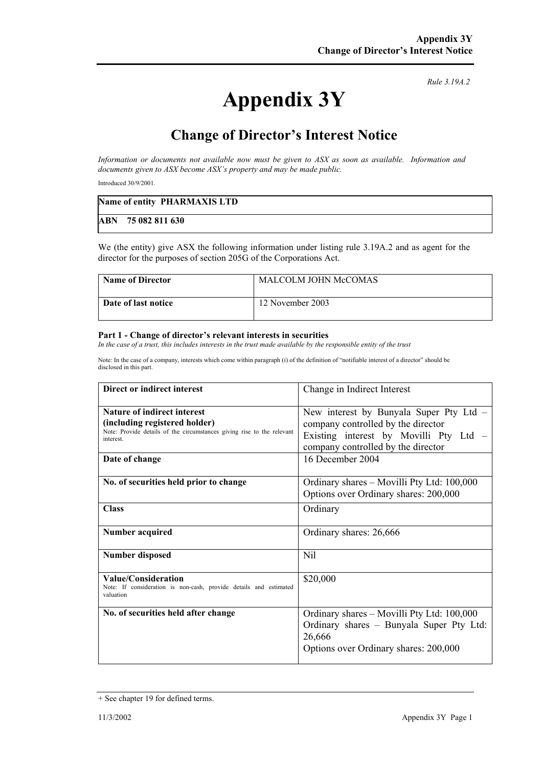# **Appendix 3Y**

*Rule 3.19A.2*

## **Change of Director's Interest Notice**

*Information or documents not available now must be given to ASX as soon as available. Information and documents given to ASX become ASX's property and may be made public.* 

Introduced 30/9/2001.

| Name of entity PHARMAXIS LTD |
|------------------------------|
| ABN 75 082 811 630           |

We (the entity) give ASX the following information under listing rule 3.19A.2 and as agent for the director for the purposes of section 205G of the Corporations Act.

| <b>Name of Director</b> | <b>MALCOLM JOHN McCOMAS</b> |
|-------------------------|-----------------------------|
| Date of last notice     | 12 November 2003            |

#### **Part 1 - Change of director's relevant interests in securities**

In the case of a trust, this includes interests in the trust made available by the responsible entity of the trust

Note: In the case of a company, interests which come within paragraph (i) of the definition of "notifiable interest of a director" should be disclosed in this part.

| Direct or indirect interest                                                                                                                                                 | Change in Indirect Interest                                                                                                                                                       |
|-----------------------------------------------------------------------------------------------------------------------------------------------------------------------------|-----------------------------------------------------------------------------------------------------------------------------------------------------------------------------------|
| <b>Nature of indirect interest</b><br>(including registered holder)<br>Note: Provide details of the circumstances giving rise to the relevant<br>interest<br>Date of change | New interest by Bunyala Super Pty Ltd -<br>company controlled by the director<br>Existing interest by Movilli Pty Ltd –<br>company controlled by the director<br>16 December 2004 |
| No. of securities held prior to change                                                                                                                                      | Ordinary shares – Movilli Pty Ltd: 100,000<br>Options over Ordinary shares: 200,000                                                                                               |
| <b>Class</b>                                                                                                                                                                | Ordinary                                                                                                                                                                          |
| <b>Number acquired</b>                                                                                                                                                      | Ordinary shares: 26,666                                                                                                                                                           |
| <b>Number disposed</b>                                                                                                                                                      | Nil                                                                                                                                                                               |
| <b>Value/Consideration</b><br>Note: If consideration is non-cash, provide details and estimated<br>valuation                                                                | \$20,000                                                                                                                                                                          |
| No. of securities held after change                                                                                                                                         | Ordinary shares – Movilli Pty Ltd: 100,000<br>Ordinary shares - Bunyala Super Pty Ltd:<br>26,666<br>Options over Ordinary shares: 200,000                                         |

<sup>+</sup> See chapter 19 for defined terms.